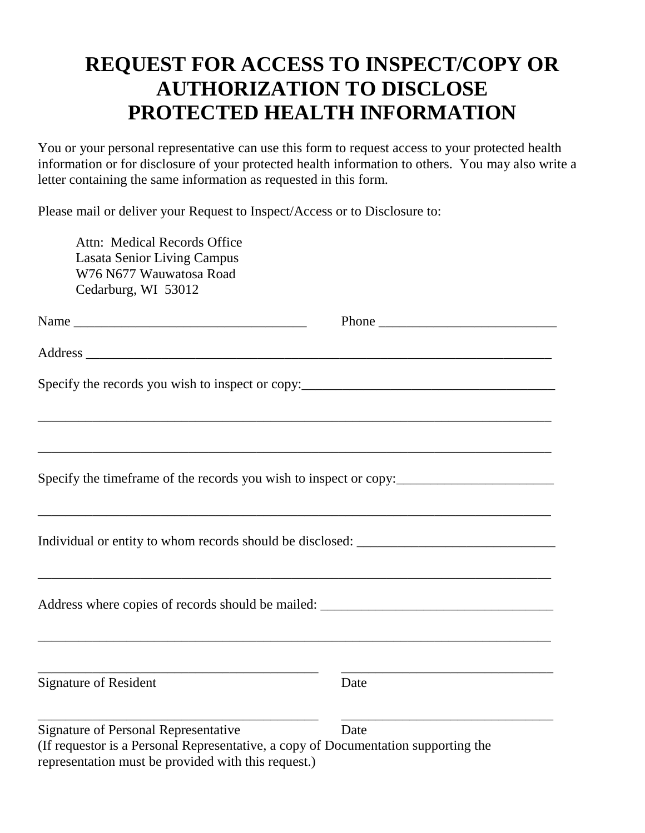## **REQUEST FOR ACCESS TO INSPECT/COPY OR AUTHORIZATION TO DISCLOSE PROTECTED HEALTH INFORMATION**

You or your personal representative can use this form to request access to your protected health information or for disclosure of your protected health information to others. You may also write a letter containing the same information as requested in this form.

Please mail or deliver your Request to Inspect/Access or to Disclosure to:

| Attn: Medical Records Office<br><b>Lasata Senior Living Campus</b><br>W76 N677 Wauwatosa Road<br>Cedarburg, WI 53012              |                                                                                   |
|-----------------------------------------------------------------------------------------------------------------------------------|-----------------------------------------------------------------------------------|
|                                                                                                                                   |                                                                                   |
|                                                                                                                                   |                                                                                   |
|                                                                                                                                   | Specify the records you wish to inspect or copy:_________________________________ |
|                                                                                                                                   | Specify the timeframe of the records you wish to inspect or copy:                 |
|                                                                                                                                   | Individual or entity to whom records should be disclosed: _______________________ |
|                                                                                                                                   |                                                                                   |
| <b>Signature of Resident</b>                                                                                                      | Date                                                                              |
| <b>Signature of Personal Representative</b><br>(If requestor is a Personal Representative, a copy of Documentation supporting the | Date                                                                              |

representation must be provided with this request.)